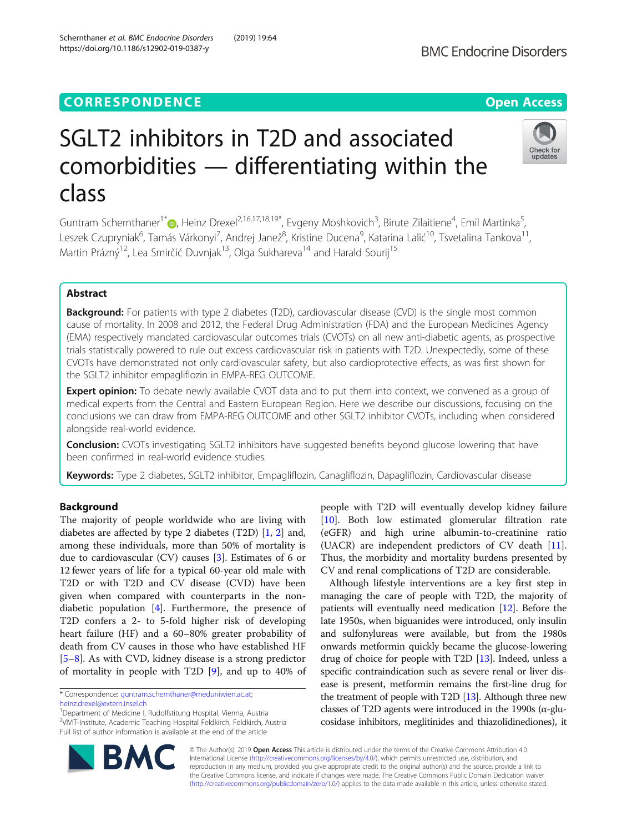# **CORRESPONDENCE CORRESPONDENCE** *CORRESPONDENCE*

# SGLT2 inhibitors in T2D and associated comorbidities — differentiating within the class

Guntram Schernthaner<sup>1\*</sup> (**b**[,](http://orcid.org/0000-0003-2397-4468) Heinz Drexel<sup>2,16,17,18,19\*, Evgeny Moshkovich<sup>3</sup>, Birute Zilaitiene<sup>4</sup>, Emil Martinka<sup>5</sup></sup> , Leszek Czupryniak<sup>6</sup>, Tamás Várkonyi<sup>7</sup>, Andrej Janež<sup>8</sup>, Kristine Ducena<sup>9</sup>, Katarina Lalić<sup>10</sup>, Tsvetalina Tankova<sup>11</sup>, Martin Prázný<sup>12</sup>, Lea Smirčić Duvnjak<sup>13</sup>, Olga Sukhareva<sup>14</sup> and Harald Sourij<sup>15</sup>

# Abstract

**Background:** For patients with type 2 diabetes (T2D), cardiovascular disease (CVD) is the single most common cause of mortality. In 2008 and 2012, the Federal Drug Administration (FDA) and the European Medicines Agency (EMA) respectively mandated cardiovascular outcomes trials (CVOTs) on all new anti-diabetic agents, as prospective trials statistically powered to rule out excess cardiovascular risk in patients with T2D. Unexpectedly, some of these CVOTs have demonstrated not only cardiovascular safety, but also cardioprotective effects, as was first shown for the SGLT2 inhibitor empagliflozin in EMPA-REG OUTCOME.

**Expert opinion:** To debate newly available CVOT data and to put them into context, we convened as a group of medical experts from the Central and Eastern European Region. Here we describe our discussions, focusing on the conclusions we can draw from EMPA-REG OUTCOME and other SGLT2 inhibitor CVOTs, including when considered alongside real-world evidence.

**Conclusion:** CVOTs investigating SGLT2 inhibitors have suggested benefits beyond glucose lowering that have been confirmed in real-world evidence studies.

Keywords: Type 2 diabetes, SGLT2 inhibitor, Empagliflozin, Canagliflozin, Dapagliflozin, Cardiovascular disease

# Background

The majority of people worldwide who are living with diabetes are affected by type 2 diabetes (T2D) [[1,](#page-10-0) [2](#page-10-0)] and, among these individuals, more than 50% of mortality is due to cardiovascular (CV) causes [[3\]](#page-10-0). Estimates of 6 or 12 fewer years of life for a typical 60-year old male with T2D or with T2D and CV disease (CVD) have been given when compared with counterparts in the nondiabetic population [[4\]](#page-10-0). Furthermore, the presence of T2D confers a 2- to 5-fold higher risk of developing heart failure (HF) and a 60–80% greater probability of death from CV causes in those who have established HF [[5](#page-10-0)–[8\]](#page-10-0). As with CVD, kidney disease is a strong predictor of mortality in people with T2D [[9\]](#page-10-0), and up to 40% of

\* Correspondence: [guntram.schernthaner@meduniwien.ac.at;](mailto:guntram.schernthaner@meduniwien.ac.at)

**BM** 

<sup>1</sup>Department of Medicine I, Rudolfstitung Hospital, Vienna, Austria <sup>2</sup>VIVIT-Institute, Academic Teaching Hospital Feldkirch, Feldkirch, Austria Full list of author information is available at the end of the article

> © The Author(s). 2019 Open Access This article is distributed under the terms of the Creative Commons Attribution 4.0 International License [\(http://creativecommons.org/licenses/by/4.0/](http://creativecommons.org/licenses/by/4.0/)), which permits unrestricted use, distribution, and reproduction in any medium, provided you give appropriate credit to the original author(s) and the source, provide a link to the Creative Commons license, and indicate if changes were made. The Creative Commons Public Domain Dedication waiver [\(http://creativecommons.org/publicdomain/zero/1.0/](http://creativecommons.org/publicdomain/zero/1.0/)) applies to the data made available in this article, unless otherwise stated.

people with T2D will eventually develop kidney failure [[10\]](#page-10-0). Both low estimated glomerular filtration rate (eGFR) and high urine albumin-to-creatinine ratio (UACR) are independent predictors of CV death [\[11](#page-10-0)]. Thus, the morbidity and mortality burdens presented by CV and renal complications of T2D are considerable.

Although lifestyle interventions are a key first step in managing the care of people with T2D, the majority of patients will eventually need medication [\[12\]](#page-10-0). Before the late 1950s, when biguanides were introduced, only insulin and sulfonylureas were available, but from the 1980s onwards metformin quickly became the glucose-lowering drug of choice for people with T2D [\[13](#page-10-0)]. Indeed, unless a specific contraindication such as severe renal or liver disease is present, metformin remains the first-line drug for the treatment of people with T2D [[13](#page-10-0)]. Although three new classes of T2D agents were introduced in the 1990s (α-glucosidase inhibitors, meglitinides and thiazolidinediones), it





[heinz.drexel@extern.insel.ch](mailto:heinz.drexel@extern.insel.ch)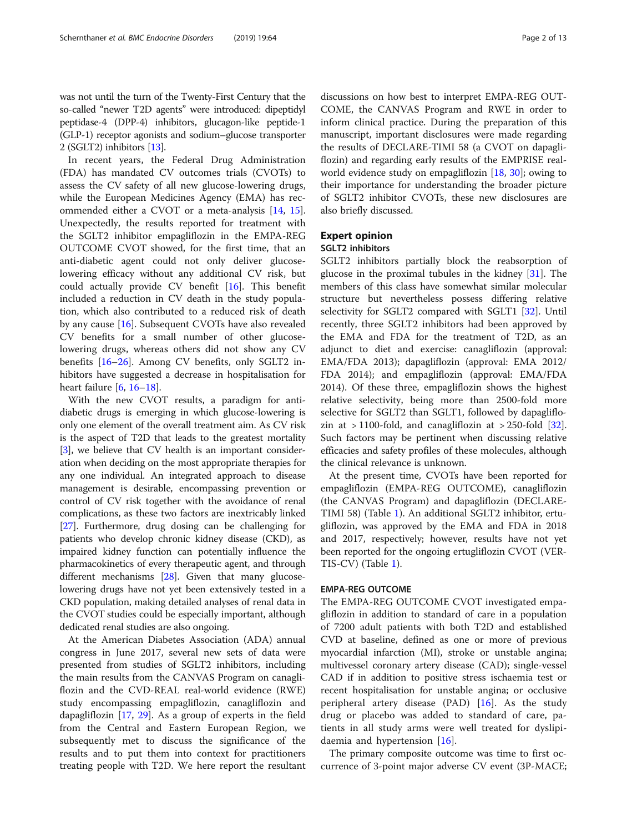In recent years, the Federal Drug Administration (FDA) has mandated CV outcomes trials (CVOTs) to assess the CV safety of all new glucose-lowering drugs, while the European Medicines Agency (EMA) has recommended either a CVOT or a meta-analysis [\[14](#page-10-0), [15](#page-10-0)]. Unexpectedly, the results reported for treatment with the SGLT2 inhibitor empagliflozin in the EMPA-REG OUTCOME CVOT showed, for the first time, that an anti-diabetic agent could not only deliver glucoselowering efficacy without any additional CV risk, but could actually provide CV benefit [[16\]](#page-10-0). This benefit included a reduction in CV death in the study population, which also contributed to a reduced risk of death by any cause [[16](#page-10-0)]. Subsequent CVOTs have also revealed CV benefits for a small number of other glucoselowering drugs, whereas others did not show any CV benefits [\[16](#page-10-0)–[26\]](#page-11-0). Among CV benefits, only SGLT2 inhibitors have suggested a decrease in hospitalisation for heart failure  $[6, 16-18]$  $[6, 16-18]$  $[6, 16-18]$  $[6, 16-18]$  $[6, 16-18]$  $[6, 16-18]$ .

With the new CVOT results, a paradigm for antidiabetic drugs is emerging in which glucose-lowering is only one element of the overall treatment aim. As CV risk is the aspect of T2D that leads to the greatest mortality [[3\]](#page-10-0), we believe that CV health is an important consideration when deciding on the most appropriate therapies for any one individual. An integrated approach to disease management is desirable, encompassing prevention or control of CV risk together with the avoidance of renal complications, as these two factors are inextricably linked [[27](#page-11-0)]. Furthermore, drug dosing can be challenging for patients who develop chronic kidney disease (CKD), as impaired kidney function can potentially influence the pharmacokinetics of every therapeutic agent, and through different mechanisms [[28](#page-11-0)]. Given that many glucoselowering drugs have not yet been extensively tested in a CKD population, making detailed analyses of renal data in the CVOT studies could be especially important, although dedicated renal studies are also ongoing.

At the American Diabetes Association (ADA) annual congress in June 2017, several new sets of data were presented from studies of SGLT2 inhibitors, including the main results from the CANVAS Program on canagliflozin and the CVD-REAL real-world evidence (RWE) study encompassing empagliflozin, canagliflozin and dapagliflozin [\[17](#page-10-0), [29\]](#page-11-0). As a group of experts in the field from the Central and Eastern European Region, we subsequently met to discuss the significance of the results and to put them into context for practitioners treating people with T2D. We here report the resultant

discussions on how best to interpret EMPA-REG OUT-COME, the CANVAS Program and RWE in order to inform clinical practice. During the preparation of this manuscript, important disclosures were made regarding the results of DECLARE-TIMI 58 (a CVOT on dapagliflozin) and regarding early results of the EMPRISE realworld evidence study on empagliflozin  $[18, 30]$  $[18, 30]$  $[18, 30]$  $[18, 30]$ ; owing to their importance for understanding the broader picture of SGLT2 inhibitor CVOTs, these new disclosures are also briefly discussed.

# Expert opinion

# SGLT2 inhibitors

SGLT2 inhibitors partially block the reabsorption of glucose in the proximal tubules in the kidney [\[31](#page-11-0)]. The members of this class have somewhat similar molecular structure but nevertheless possess differing relative selectivity for SGLT2 compared with SGLT1 [[32](#page-11-0)]. Until recently, three SGLT2 inhibitors had been approved by the EMA and FDA for the treatment of T2D, as an adjunct to diet and exercise: canagliflozin (approval: EMA/FDA 2013); dapagliflozin (approval: EMA 2012/ FDA 2014); and empagliflozin (approval: EMA/FDA 2014). Of these three, empagliflozin shows the highest relative selectivity, being more than 2500-fold more selective for SGLT2 than SGLT1, followed by dapagliflozin at  $>$  1100-fold, and canagliflozin at  $>$  250-fold [\[32](#page-11-0)]. Such factors may be pertinent when discussing relative efficacies and safety profiles of these molecules, although the clinical relevance is unknown.

At the present time, CVOTs have been reported for empagliflozin (EMPA-REG OUTCOME), canagliflozin (the CANVAS Program) and dapagliflozin (DECLARE-TIMI 58) (Table [1](#page-2-0)). An additional SGLT2 inhibitor, ertugliflozin, was approved by the EMA and FDA in 2018 and 2017, respectively; however, results have not yet been reported for the ongoing ertugliflozin CVOT (VER-TIS-CV) (Table [1\)](#page-2-0).

# EMPA-REG OUTCOME

The EMPA-REG OUTCOME CVOT investigated empagliflozin in addition to standard of care in a population of 7200 adult patients with both T2D and established CVD at baseline, defined as one or more of previous myocardial infarction (MI), stroke or unstable angina; multivessel coronary artery disease (CAD); single-vessel CAD if in addition to positive stress ischaemia test or recent hospitalisation for unstable angina; or occlusive peripheral artery disease (PAD)  $[16]$  $[16]$ . As the study drug or placebo was added to standard of care, patients in all study arms were well treated for dyslipidaemia and hypertension [[16\]](#page-10-0).

The primary composite outcome was time to first occurrence of 3-point major adverse CV event (3P-MACE;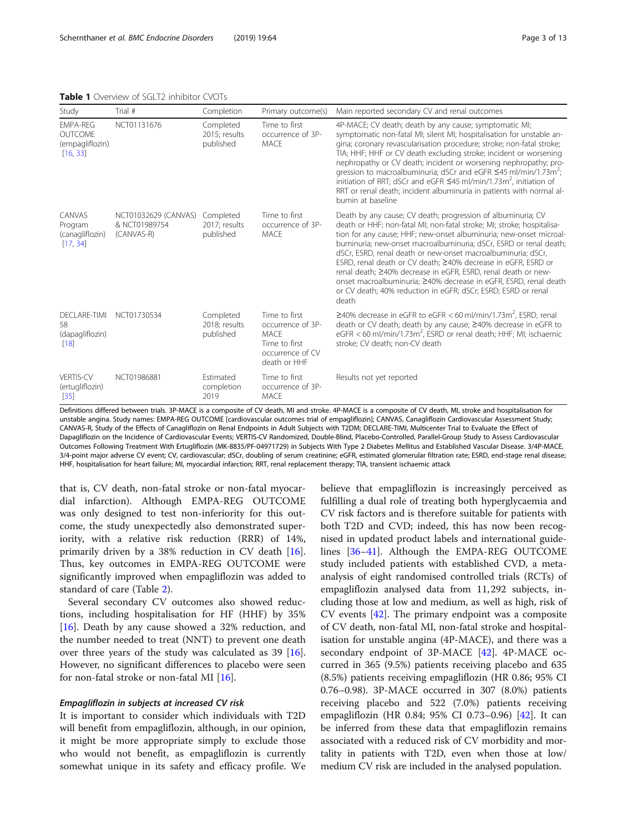<span id="page-2-0"></span>Table 1 Overview of SGLT2 inhibitor CVOTs

VERTIS-CV (ertugliflozin) [\[35\]](#page-11-0)

| <b>IGNIC I</b> OVERTEW OF JULIZ IHIINIUI CYOTS                   |                                                     |                                         |                                                                    |                                                                                                                                                                                                                                                                                                                                                                                                                                                                                                                                                                                                                                   |  |  |  |  |
|------------------------------------------------------------------|-----------------------------------------------------|-----------------------------------------|--------------------------------------------------------------------|-----------------------------------------------------------------------------------------------------------------------------------------------------------------------------------------------------------------------------------------------------------------------------------------------------------------------------------------------------------------------------------------------------------------------------------------------------------------------------------------------------------------------------------------------------------------------------------------------------------------------------------|--|--|--|--|
| Study                                                            | Trial #                                             | Completion                              | Primary outcome(s)                                                 | Main reported secondary CV and renal outcomes                                                                                                                                                                                                                                                                                                                                                                                                                                                                                                                                                                                     |  |  |  |  |
| <b>EMPA-REG</b><br><b>OUTCOME</b><br>(empagliflozin)<br>[16, 33] | NCT01131676                                         | Completed<br>2015; results<br>published | Time to first<br>occurrence of 3P-<br>MACE                         | 4P-MACE; CV death; death by any cause; symptomatic MI;<br>symptomatic non-fatal MI; silent MI; hospitalisation for unstable an-<br>gina; coronary revascularisation procedure; stroke; non-fatal stroke;<br>TIA; HHF; HHF or CV death excluding stroke; incident or worsening<br>nephropathy or CV death; incident or worsening nephropathy; pro-<br>gression to macroalbuminuria; dSCr and eGFR $\leq$ 45 ml/min/1.73m <sup>2</sup> ;<br>initiation of RRT; dSCr and eGFR $\leq$ 45 ml/min/1.73m <sup>2</sup> , initiation of<br>RRT or renal death; incident albuminuria in patients with normal al-<br>bumin at baseline       |  |  |  |  |
| CANVAS<br>Program<br>(canagliflozin)<br>[17, 34]                 | NCT01032629 (CANVAS)<br>& NCT01989754<br>(CANVAS-R) | Completed<br>2017; results<br>published | Time to first<br>occurrence of 3P-<br>MACE                         | Death by any cause; CV death; progression of albuminuria; CV<br>death or HHF; non-fatal MI; non-fatal stroke; MI; stroke; hospitalisa-<br>tion for any cause; HHF; new-onset albuminuria; new-onset microal-<br>buminuria; new-onset macroalbuminuria; dSCr, ESRD or renal death;<br>dSCr, ESRD, renal death or new-onset macroalbuminuria; dSCr,<br>ESRD, renal death or CV death; ≥40% decrease in eGFR, ESRD or<br>renal death; ≥40% decrease in eGFR, ESRD, renal death or new-<br>onset macroalbuminuria; ≥40% decrease in eGFR, ESRD, renal death<br>or CV death; 40% reduction in eGFR; dSCr; ESRD; ESRD or renal<br>death |  |  |  |  |
| <b>DECLARE-TIMI</b><br>58<br>(dapagliflozin)<br>$[18]$           | NCT01730534                                         | Completed<br>2018; results<br>published | Time to first<br>occurrence of 3P-<br><b>MACE</b><br>Time to first | $\geq$ 40% decrease in eGFR to eGFR < 60 ml/min/1.73m <sup>2</sup> , ESRD, renal<br>death or CV death; death by any cause; ≥40% decrease in eGFR to<br>eGFR $<$ 60 ml/min/1.73m <sup>2</sup> , ESRD or renal death; HHF; MI; ischaemic<br>stroke; CV death; non-CV death                                                                                                                                                                                                                                                                                                                                                          |  |  |  |  |

Definitions differed between trials. 3P-MACE is a composite of CV death, MI and stroke. 4P-MACE is a composite of CV death, MI, stroke and hospitalisation for unstable angina. Study names: EMPA-REG OUTCOME [cardiovascular outcomes trial of empagliflozin]; CANVAS, Canagliflozin Cardiovascular Assessment Study; CANVAS-R, Study of the Effects of Canagliflozin on Renal Endpoints in Adult Subjects with T2DM; DECLARE-TIMI, Multicenter Trial to Evaluate the Effect of Dapagliflozin on the Incidence of Cardiovascular Events; VERTIS-CV Randomized, Double-Blind, Placebo-Controlled, Parallel-Group Study to Assess Cardiovascular Outcomes Following Treatment With Ertugliflozin (MK-8835/PF-04971729) in Subjects With Type 2 Diabetes Mellitus and Established Vascular Disease. 3/4P-MACE, 3/4-point major adverse CV event; CV, cardiovascular; dSCr, doubling of serum creatinine; eGFR, estimated glomerular filtration rate; ESRD, end-stage renal disease; HHF, hospitalisation for heart failure; MI, myocardial infarction; RRT, renal replacement therapy; TIA, transient ischaemic attack

Results not yet reported

occurrence of CV death or HHF

Time to first occurrence of 3P-

MACE

that is, CV death, non-fatal stroke or non-fatal myocardial infarction). Although EMPA-REG OUTCOME was only designed to test non-inferiority for this outcome, the study unexpectedly also demonstrated superiority, with a relative risk reduction (RRR) of 14%, primarily driven by a 38% reduction in CV death [\[16](#page-10-0)]. Thus, key outcomes in EMPA-REG OUTCOME were significantly improved when empagliflozin was added to standard of care (Table [2\)](#page-3-0).

NCT01986881 Estimated

completion 2019

Several secondary CV outcomes also showed reductions, including hospitalisation for HF (HHF) by 35% [[16\]](#page-10-0). Death by any cause showed a 32% reduction, and the number needed to treat (NNT) to prevent one death over three years of the study was calculated as 39 [\[16](#page-10-0)]. However, no significant differences to placebo were seen for non-fatal stroke or non-fatal MI [\[16\]](#page-10-0).

#### Empagliflozin in subjects at increased CV risk

It is important to consider which individuals with T2D will benefit from empagliflozin, although, in our opinion, it might be more appropriate simply to exclude those who would not benefit, as empagliflozin is currently somewhat unique in its safety and efficacy profile. We believe that empagliflozin is increasingly perceived as fulfilling a dual role of treating both hyperglycaemia and CV risk factors and is therefore suitable for patients with both T2D and CVD; indeed, this has now been recognised in updated product labels and international guidelines [[36](#page-11-0)–[41](#page-11-0)]. Although the EMPA-REG OUTCOME study included patients with established CVD, a metaanalysis of eight randomised controlled trials (RCTs) of empagliflozin analysed data from 11, 292 subjects, including those at low and medium, as well as high, risk of CV events [[42\]](#page-11-0). The primary endpoint was a composite of CV death, non-fatal MI, non-fatal stroke and hospitalisation for unstable angina (4P-MACE), and there was a secondary endpoint of  $3P-MACE$  [\[42](#page-11-0)]. 4P-MACE occurred in 365 (9.5%) patients receiving placebo and 635 (8.5%) patients receiving empagliflozin (HR 0.86; 95% CI 0.76–0.98). 3P-MACE occurred in 307 (8.0%) patients receiving placebo and 522 (7.0%) patients receiving empagliflozin (HR 0.84; 95% CI 0.73–0.96) [\[42\]](#page-11-0). It can be inferred from these data that empagliflozin remains associated with a reduced risk of CV morbidity and mortality in patients with T2D, even when those at low/ medium CV risk are included in the analysed population.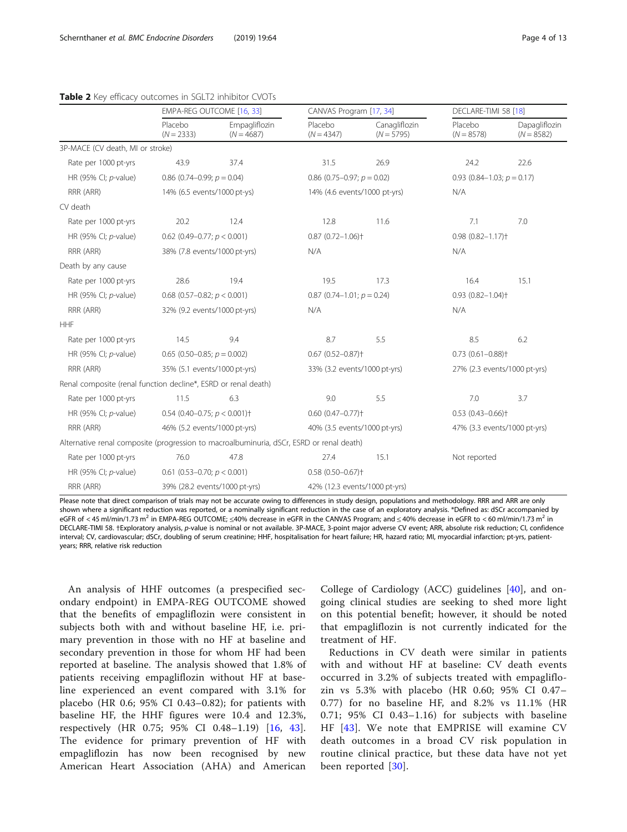#### <span id="page-3-0"></span>Table 2 Key efficacy outcomes in SGLT2 inhibitor CVOTs

|                                                                                          | EMPA-REG OUTCOME [16, 33]                   |                               | CANVAS Program [17, 34]             |                               | DECLARE-TIMI 58 [18]                |                               |  |  |
|------------------------------------------------------------------------------------------|---------------------------------------------|-------------------------------|-------------------------------------|-------------------------------|-------------------------------------|-------------------------------|--|--|
|                                                                                          | Placebo<br>$(N = 2333)$                     | Empagliflozin<br>$(N = 4687)$ | Placebo<br>$(N = 4347)$             | Canagliflozin<br>$(N = 5795)$ | Placebo<br>$(N = 8578)$             | Dapagliflozin<br>$(N = 8582)$ |  |  |
| 3P-MACE (CV death, MI or stroke)                                                         |                                             |                               |                                     |                               |                                     |                               |  |  |
| Rate per 1000 pt-yrs                                                                     | 43.9                                        | 37.4                          | 31.5                                | 26.9                          | 24.2                                | 22.6                          |  |  |
| HR (95% CI; p-value)                                                                     | 0.86 (0.74-0.99; $p = 0.04$ )               |                               | 0.86 (0.75-0.97; $p = 0.02$ )       |                               | 0.93 $(0.84-1.03; p = 0.17)$        |                               |  |  |
| RRR (ARR)                                                                                | 14% (6.5 events/1000 pt-ys)                 |                               | 14% (4.6 events/1000 pt-yrs)        |                               | N/A                                 |                               |  |  |
| CV death                                                                                 |                                             |                               |                                     |                               |                                     |                               |  |  |
| Rate per 1000 pt-yrs                                                                     | 20.2                                        | 12.4                          | 12.8                                | 11.6                          | 7.1                                 | 7.0                           |  |  |
| HR (95% CI; p-value)                                                                     | 0.62 (0.49-0.77; $p < 0.001$ )              |                               | $0.87$ (0.72-1.06) <sup>+</sup>     |                               | $0.98$ $(0.82 - 1.17)$ <sup>+</sup> |                               |  |  |
| RRR (ARR)                                                                                |                                             | 38% (7.8 events/1000 pt-yrs)  |                                     |                               | N/A                                 |                               |  |  |
| Death by any cause                                                                       |                                             |                               |                                     |                               |                                     |                               |  |  |
| Rate per 1000 pt-yrs                                                                     | 28.6                                        | 19.4                          | 19.5                                | 17.3                          | 16.4                                | 15.1                          |  |  |
| HR (95% CI; p-value)                                                                     | 0.68 (0.57-0.82; $p < 0.001$ )              |                               | $0.87$ (0.74-1.01; $p = 0.24$ )     |                               | $0.93$ $(0.82 - 1.04)$ <sup>+</sup> |                               |  |  |
| RRR (ARR)                                                                                | 32% (9.2 events/1000 pt-yrs)                |                               | N/A                                 |                               | N/A                                 |                               |  |  |
| <b>HHF</b>                                                                               |                                             |                               |                                     |                               |                                     |                               |  |  |
| Rate per 1000 pt-yrs                                                                     | 14.5                                        | 9.4                           | 8.7                                 | 5.5                           | 8.5                                 | 6.2                           |  |  |
| HR (95% CI; p-value)                                                                     | $0.65$ (0.50-0.85; $p = 0.002$ )            |                               | $0.67$ $(0.52 - 0.87)$ <sup>+</sup> |                               | $0.73$ $(0.61 - 0.88)$ <sup>+</sup> |                               |  |  |
| RRR (ARR)                                                                                | 35% (5.1 events/1000 pt-yrs)                |                               | 33% (3.2 events/1000 pt-yrs)        |                               | 27% (2.3 events/1000 pt-yrs)        |                               |  |  |
| Renal composite (renal function decline*, ESRD or renal death)                           |                                             |                               |                                     |                               |                                     |                               |  |  |
| Rate per 1000 pt-yrs                                                                     | 11.5                                        | 6.3                           | 9.0                                 | 5.5                           | 7.0                                 | 3.7                           |  |  |
| HR (95% CI; p-value)                                                                     | 0.54 (0.40-0.75; $p < 0.001$ ) <sup>+</sup> |                               | $0.60$ $(0.47 - 0.77)$ <sup>+</sup> |                               | $0.53(0.43 - 0.66)$ <sup>+</sup>    |                               |  |  |
| RRR (ARR)                                                                                | 46% (5.2 events/1000 pt-yrs)                |                               |                                     | 40% (3.5 events/1000 pt-yrs)  |                                     | 47% (3.3 events/1000 pt-yrs)  |  |  |
| Alternative renal composite (progression to macroalbuminuria, dSCr, ESRD or renal death) |                                             |                               |                                     |                               |                                     |                               |  |  |
| Rate per 1000 pt-yrs                                                                     | 76.0                                        | 47.8                          |                                     | 15.1<br>27.4                  |                                     | Not reported                  |  |  |
| HR (95% CI; p-value)                                                                     | 0.61 (0.53-0.70; $p < 0.001$ )              |                               | $0.58(0.50 - 0.67)$ <sup>+</sup>    |                               |                                     |                               |  |  |
| RRR (ARR)                                                                                | 39% (28.2 events/1000 pt-yrs)               |                               | 42% (12.3 events/1000 pt-yrs)       |                               |                                     |                               |  |  |

Please note that direct comparison of trials may not be accurate owing to differences in study design, populations and methodology. RRR and ARR are only shown where a significant reduction was reported, or a nominally significant reduction in the case of an exploratory analysis. \*Defined as: dSCr accompanied by eGFR of <45 ml/min/1.73 m<sup>2</sup> in EMPA-REG OUTCOME; ≤40% decrease in eGFR in the CANVAS Program; and ≤40% decrease in eGFR to <60 ml/min/1.73 m<sup>2</sup> in DECLARE-TIMI 58. †Exploratory analysis, p-value is nominal or not available. 3P-MACE, 3-point major adverse CV event; ARR, absolute risk reduction; CI, confidence interval; CV, cardiovascular; dSCr, doubling of serum creatinine; HHF, hospitalisation for heart failure; HR, hazard ratio; MI, myocardial infarction; pt-yrs, patientyears; RRR, relative risk reduction

An analysis of HHF outcomes (a prespecified secondary endpoint) in EMPA-REG OUTCOME showed that the benefits of empagliflozin were consistent in subjects both with and without baseline HF, i.e. primary prevention in those with no HF at baseline and secondary prevention in those for whom HF had been reported at baseline. The analysis showed that 1.8% of patients receiving empagliflozin without HF at baseline experienced an event compared with 3.1% for placebo (HR 0.6; 95% CI 0.43–0.82); for patients with baseline HF, the HHF figures were 10.4 and 12.3%, respectively (HR 0.75; 95% CI 0.48–1.19) [\[16](#page-10-0), [43](#page-11-0)]. The evidence for primary prevention of HF with empagliflozin has now been recognised by new American Heart Association (AHA) and American

College of Cardiology (ACC) guidelines [\[40](#page-11-0)], and ongoing clinical studies are seeking to shed more light on this potential benefit; however, it should be noted that empagliflozin is not currently indicated for the treatment of HF.

Reductions in CV death were similar in patients with and without HF at baseline: CV death events occurred in 3.2% of subjects treated with empagliflozin vs 5.3% with placebo (HR 0.60; 95% CI 0.47– 0.77) for no baseline HF, and 8.2% vs 11.1% (HR 0.71; 95% CI 0.43–1.16) for subjects with baseline HF [[43\]](#page-11-0). We note that EMPRISE will examine CV death outcomes in a broad CV risk population in routine clinical practice, but these data have not yet been reported [\[30\]](#page-11-0).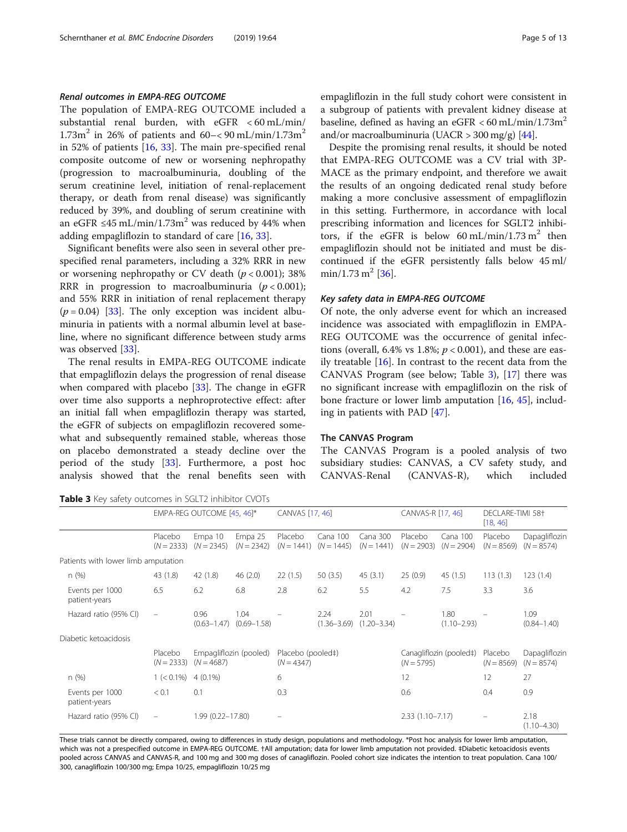# <span id="page-4-0"></span>Renal outcomes in EMPA-REG OUTCOME

The population of EMPA-REG OUTCOME included a substantial renal burden, with eGFR < 60 mL/min/  $1.73m^2$  in 26% of patients and 60–< 90 mL/min/1.73m<sup>2</sup> in 52% of patients [[16,](#page-10-0) [33\]](#page-11-0). The main pre-specified renal composite outcome of new or worsening nephropathy (progression to macroalbuminuria, doubling of the serum creatinine level, initiation of renal-replacement therapy, or death from renal disease) was significantly reduced by 39%, and doubling of serum creatinine with an eGFR ≤45 mL/min/1.73m<sup>2</sup> was reduced by 44% when adding empagliflozin to standard of care [\[16](#page-10-0), [33\]](#page-11-0).

Significant benefits were also seen in several other prespecified renal parameters, including a 32% RRR in new or worsening nephropathy or CV death  $(p < 0.001)$ ; 38% RRR in progression to macroalbuminuria  $(p < 0.001)$ ; and 55% RRR in initiation of renal replacement therapy  $(p = 0.04)$  [[33\]](#page-11-0). The only exception was incident albuminuria in patients with a normal albumin level at baseline, where no significant difference between study arms was observed [\[33](#page-11-0)].

The renal results in EMPA-REG OUTCOME indicate that empagliflozin delays the progression of renal disease when compared with placebo [[33](#page-11-0)]. The change in eGFR over time also supports a nephroprotective effect: after an initial fall when empagliflozin therapy was started, the eGFR of subjects on empagliflozin recovered somewhat and subsequently remained stable, whereas those on placebo demonstrated a steady decline over the period of the study [[33\]](#page-11-0). Furthermore, a post hoc analysis showed that the renal benefits seen with

Table 3 Key safety outcomes in SGLT2 inhibitor CVOTs

empagliflozin in the full study cohort were consistent in a subgroup of patients with prevalent kidney disease at baseline, defined as having an eGFR  $< 60$  mL/min/1.73m<sup>2</sup> and/or macroalbuminuria (UACR  $>$  300 mg/g) [[44](#page-11-0)].

Despite the promising renal results, it should be noted that EMPA-REG OUTCOME was a CV trial with 3P-MACE as the primary endpoint, and therefore we await the results of an ongoing dedicated renal study before making a more conclusive assessment of empagliflozin in this setting. Furthermore, in accordance with local prescribing information and licences for SGLT2 inhibitors, if the eGFR is below 60 mL/min/1.73 m<sup>2</sup> then empagliflozin should not be initiated and must be discontinued if the eGFR persistently falls below 45 ml/ min/1.73 m<sup>2</sup> [\[36](#page-11-0)].

#### Key safety data in EMPA-REG OUTCOME

Of note, the only adverse event for which an increased incidence was associated with empagliflozin in EMPA-REG OUTCOME was the occurrence of genital infections (overall, 6.4% vs 1.8%;  $p < 0.001$ ), and these are easily treatable  $[16]$ . In contrast to the recent data from the CANVAS Program (see below; Table 3), [\[17](#page-10-0)] there was no significant increase with empagliflozin on the risk of bone fracture or lower limb amputation [[16,](#page-10-0) [45](#page-11-0)], including in patients with PAD [\[47](#page-11-0)].

#### The CANVAS Program

The CANVAS Program is a pooled analysis of two subsidiary studies: CANVAS, a CV safety study, and CANVAS-Renal (CANVAS-R), which included

|                                     | EMPA-REG OUTCOME [45, 46]*                    |                                        |                         | CANVAS [17, 46]                   |                          | CANVAS-R [17, 46]                       |                         | DECLARE-TIMI 58 <sup>+</sup><br>[18, 46] |                               |                               |
|-------------------------------------|-----------------------------------------------|----------------------------------------|-------------------------|-----------------------------------|--------------------------|-----------------------------------------|-------------------------|------------------------------------------|-------------------------------|-------------------------------|
|                                     | Placebo<br>$(N = 2333)$                       | Empa 10<br>$(N = 2345)$                | Empa 25<br>$(N = 2342)$ | Placebo<br>$(N = 1441)$           | Cana 100<br>$(N = 1445)$ | Cana 300<br>$(N = 1441)$                | Placebo<br>$(N = 2903)$ | Cana 100<br>$(N = 2904)$                 | Placebo<br>$(N = 8569)$       | Dapagliflozin<br>$(N = 8574)$ |
| Patients with lower limb amputation |                                               |                                        |                         |                                   |                          |                                         |                         |                                          |                               |                               |
| n(%)                                | 43 (1.8)                                      | 42 (1.8)                               | 46(2.0)                 | 22(1.5)                           | 50(3.5)                  | 45(3.1)                                 | 25(0.9)                 | 45 (1.5)                                 | 113(1.3)                      | 123(1.4)                      |
| Events per 1000<br>patient-years    | 6.5                                           | 6.2                                    | 6.8                     | 2.8                               | 6.2                      | 5.5                                     | 4.2                     | 7.5                                      | 3.3                           | 3.6                           |
| Hazard ratio (95% CI)               | $\overline{\phantom{a}}$                      | 0.96<br>$(0.63 - 1.47)$                | 1.04<br>$(0.69 - 1.58)$ |                                   | 2.24                     | 2.01<br>$(1.36 - 3.69)$ $(1.20 - 3.34)$ |                         | 1.80<br>$(1.10 - 2.93)$                  |                               | 1.09<br>$(0.84 - 1.40)$       |
| Diabetic ketoacidosis               |                                               |                                        |                         |                                   |                          |                                         |                         |                                          |                               |                               |
|                                     | Placebo<br>$(N = 2333)$                       | Empagliflozin (pooled)<br>$(N = 4687)$ |                         | Placebo (pooled‡)<br>$(N = 4347)$ |                          | Canagliflozin (pooled‡)<br>$(N = 5795)$ |                         | Placebo<br>$(N = 8569)$                  | Dapagliflozin<br>$(N = 8574)$ |                               |
| n(%)                                | $1 (< 0.1\%)$                                 | $4(0.1\%)$                             |                         | 6                                 |                          | 12                                      |                         | 12                                       | 27                            |                               |
| Events per 1000<br>patient-years    | < 0.1                                         | 0.1                                    |                         | 0.3                               |                          |                                         | 0.6                     |                                          | 0.4                           | 0.9                           |
| Hazard ratio (95% CI)               | 1.99 (0.22-17.80)<br>$\overline{\phantom{m}}$ |                                        | -                       |                                   |                          | $2.33(1.10 - 7.17)$                     |                         | $\overline{\phantom{0}}$                 | 2.18<br>$(1.10 - 4.30)$       |                               |

These trials cannot be directly compared, owing to differences in study design, populations and methodology. \*Post hoc analysis for lower limb amputation, which was not a prespecified outcome in EMPA-REG OUTCOME. †All amputation; data for lower limb amputation not provided. ‡Diabetic ketoacidosis events pooled across CANVAS and CANVAS-R, and 100 mg and 300 mg doses of canagliflozin. Pooled cohort size indicates the intention to treat population. Cana 100/ 300, canagliflozin 100/300 mg; Empa 10/25, empagliflozin 10/25 mg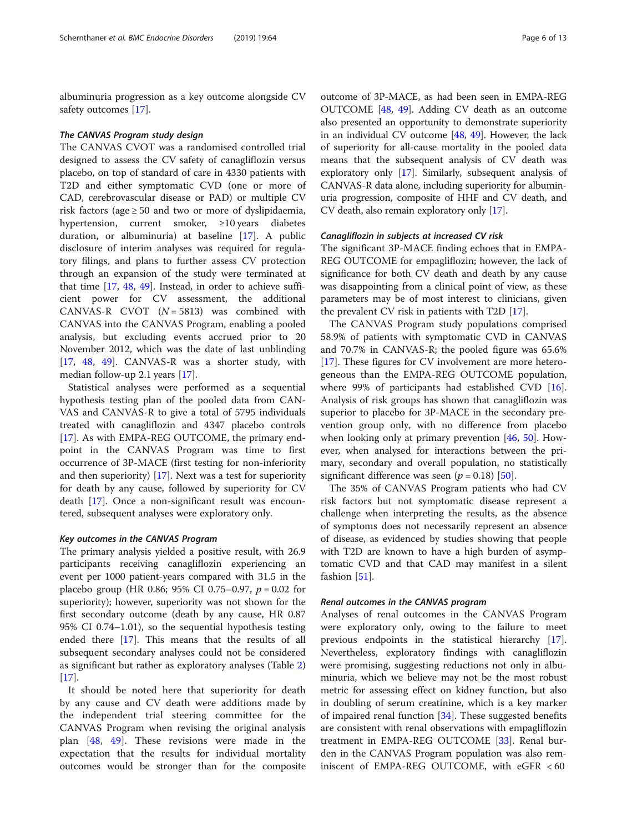albuminuria progression as a key outcome alongside CV safety outcomes [\[17](#page-10-0)].

#### The CANVAS Program study design

The CANVAS CVOT was a randomised controlled trial designed to assess the CV safety of canagliflozin versus placebo, on top of standard of care in 4330 patients with T2D and either symptomatic CVD (one or more of CAD, cerebrovascular disease or PAD) or multiple CV risk factors (age  $\geq 50$  and two or more of dyslipidaemia, hypertension, current smoker, ≥10 years diabetes duration, or albuminuria) at baseline [[17](#page-10-0)]. A public disclosure of interim analyses was required for regulatory filings, and plans to further assess CV protection through an expansion of the study were terminated at that time [\[17](#page-10-0), [48,](#page-11-0) [49](#page-11-0)]. Instead, in order to achieve sufficient power for CV assessment, the additional CANVAS-R CVOT  $(N = 5813)$  was combined with CANVAS into the CANVAS Program, enabling a pooled analysis, but excluding events accrued prior to 20 November 2012, which was the date of last unblinding [[17,](#page-10-0) [48](#page-11-0), [49](#page-11-0)]. CANVAS-R was a shorter study, with median follow-up 2.1 years [[17](#page-10-0)].

Statistical analyses were performed as a sequential hypothesis testing plan of the pooled data from CAN-VAS and CANVAS-R to give a total of 5795 individuals treated with canagliflozin and 4347 placebo controls [[17\]](#page-10-0). As with EMPA-REG OUTCOME, the primary endpoint in the CANVAS Program was time to first occurrence of 3P-MACE (first testing for non-inferiority and then superiority) [[17\]](#page-10-0). Next was a test for superiority for death by any cause, followed by superiority for CV death [\[17](#page-10-0)]. Once a non-significant result was encountered, subsequent analyses were exploratory only.

# Key outcomes in the CANVAS Program

The primary analysis yielded a positive result, with 26.9 participants receiving canagliflozin experiencing an event per 1000 patient-years compared with 31.5 in the placebo group (HR 0.86; 95% CI 0.75–0.97,  $p = 0.02$  for superiority); however, superiority was not shown for the first secondary outcome (death by any cause, HR 0.87 95% CI 0.74–1.01), so the sequential hypothesis testing ended there [\[17\]](#page-10-0). This means that the results of all subsequent secondary analyses could not be considered as significant but rather as exploratory analyses (Table [2](#page-3-0))  $[17]$  $[17]$ .

It should be noted here that superiority for death by any cause and CV death were additions made by the independent trial steering committee for the CANVAS Program when revising the original analysis plan [\[48](#page-11-0), [49](#page-11-0)]. These revisions were made in the expectation that the results for individual mortality outcomes would be stronger than for the composite

outcome of 3P-MACE, as had been seen in EMPA-REG OUTCOME [\[48,](#page-11-0) [49\]](#page-11-0). Adding CV death as an outcome also presented an opportunity to demonstrate superiority in an individual CV outcome [[48](#page-11-0), [49\]](#page-11-0). However, the lack of superiority for all-cause mortality in the pooled data means that the subsequent analysis of CV death was exploratory only [\[17\]](#page-10-0). Similarly, subsequent analysis of CANVAS-R data alone, including superiority for albuminuria progression, composite of HHF and CV death, and CV death, also remain exploratory only [[17](#page-10-0)].

#### Canagliflozin in subjects at increased CV risk

The significant 3P-MACE finding echoes that in EMPA-REG OUTCOME for empagliflozin; however, the lack of significance for both CV death and death by any cause was disappointing from a clinical point of view, as these parameters may be of most interest to clinicians, given the prevalent CV risk in patients with T2D [[17\]](#page-10-0).

The CANVAS Program study populations comprised 58.9% of patients with symptomatic CVD in CANVAS and 70.7% in CANVAS-R; the pooled figure was 65.6% [[17\]](#page-10-0). These figures for CV involvement are more heterogeneous than the EMPA-REG OUTCOME population, where 99% of participants had established CVD  $[16]$  $[16]$ . Analysis of risk groups has shown that canagliflozin was superior to placebo for 3P-MACE in the secondary prevention group only, with no difference from placebo when looking only at primary prevention [[46](#page-11-0), [50\]](#page-11-0). However, when analysed for interactions between the primary, secondary and overall population, no statistically significant difference was seen ( $p = 0.18$ ) [[50\]](#page-11-0).

The 35% of CANVAS Program patients who had CV risk factors but not symptomatic disease represent a challenge when interpreting the results, as the absence of symptoms does not necessarily represent an absence of disease, as evidenced by studies showing that people with T2D are known to have a high burden of asymptomatic CVD and that CAD may manifest in a silent fashion [\[51](#page-11-0)].

# Renal outcomes in the CANVAS program

Analyses of renal outcomes in the CANVAS Program were exploratory only, owing to the failure to meet previous endpoints in the statistical hierarchy [\[17](#page-10-0)]. Nevertheless, exploratory findings with canagliflozin were promising, suggesting reductions not only in albuminuria, which we believe may not be the most robust metric for assessing effect on kidney function, but also in doubling of serum creatinine, which is a key marker of impaired renal function [[34\]](#page-11-0). These suggested benefits are consistent with renal observations with empagliflozin treatment in EMPA-REG OUTCOME [[33\]](#page-11-0). Renal burden in the CANVAS Program population was also reminiscent of EMPA-REG OUTCOME, with eGFR < 60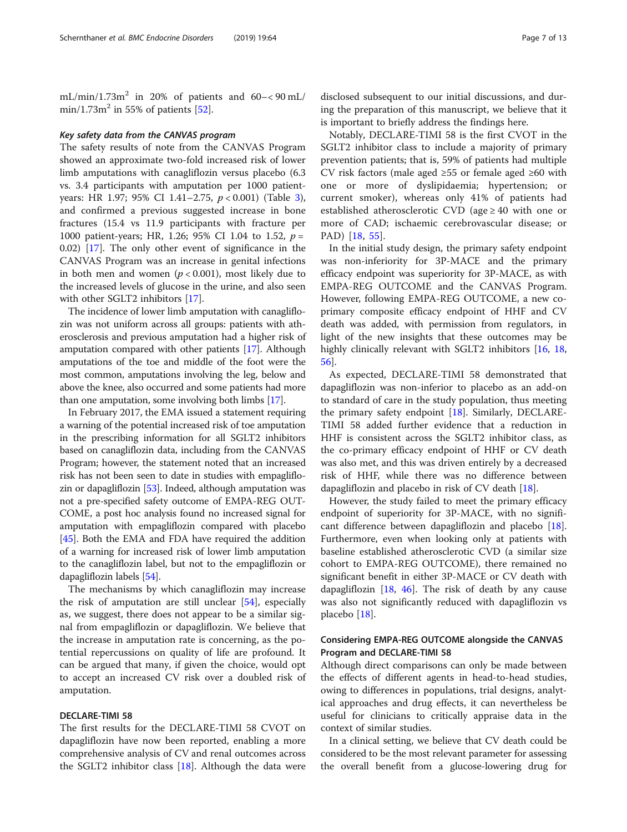mL/min/1.73 $m^2$  in 20% of patients and 60-<90 mL/ min/1.73 $m^2$  in 55% of patients [[52\]](#page-11-0).

#### Key safety data from the CANVAS program

The safety results of note from the CANVAS Program showed an approximate two-fold increased risk of lower limb amputations with canagliflozin versus placebo (6.3 vs. 3.4 participants with amputation per 1000 patientyears: HR 1.97; 95% CI 1.41–2.75, p < 0.001) (Table [3](#page-4-0)), and confirmed a previous suggested increase in bone fractures (15.4 vs 11.9 participants with fracture per 1000 patient-years; HR, 1.26; 95% CI 1.04 to 1.52,  $p =$ 0.02) [[17](#page-10-0)]. The only other event of significance in the CANVAS Program was an increase in genital infections in both men and women ( $p < 0.001$ ), most likely due to the increased levels of glucose in the urine, and also seen with other SGLT2 inhibitors [[17\]](#page-10-0).

The incidence of lower limb amputation with canagliflozin was not uniform across all groups: patients with atherosclerosis and previous amputation had a higher risk of amputation compared with other patients [\[17\]](#page-10-0). Although amputations of the toe and middle of the foot were the most common, amputations involving the leg, below and above the knee, also occurred and some patients had more than one amputation, some involving both limbs [[17](#page-10-0)].

In February 2017, the EMA issued a statement requiring a warning of the potential increased risk of toe amputation in the prescribing information for all SGLT2 inhibitors based on canagliflozin data, including from the CANVAS Program; however, the statement noted that an increased risk has not been seen to date in studies with empagliflozin or dapagliflozin [\[53\]](#page-11-0). Indeed, although amputation was not a pre-specified safety outcome of EMPA-REG OUT-COME, a post hoc analysis found no increased signal for amputation with empagliflozin compared with placebo [[45](#page-11-0)]. Both the EMA and FDA have required the addition of a warning for increased risk of lower limb amputation to the canagliflozin label, but not to the empagliflozin or dapagliflozin labels [\[54\]](#page-11-0).

The mechanisms by which canagliflozin may increase the risk of amputation are still unclear [[54\]](#page-11-0), especially as, we suggest, there does not appear to be a similar signal from empagliflozin or dapagliflozin. We believe that the increase in amputation rate is concerning, as the potential repercussions on quality of life are profound. It can be argued that many, if given the choice, would opt to accept an increased CV risk over a doubled risk of amputation.

# DECLARE-TIMI 58

The first results for the DECLARE-TIMI 58 CVOT on dapagliflozin have now been reported, enabling a more comprehensive analysis of CV and renal outcomes across the SGLT2 inhibitor class [[18](#page-10-0)]. Although the data were

disclosed subsequent to our initial discussions, and during the preparation of this manuscript, we believe that it is important to briefly address the findings here.

Notably, DECLARE-TIMI 58 is the first CVOT in the SGLT2 inhibitor class to include a majority of primary prevention patients; that is, 59% of patients had multiple CV risk factors (male aged  $\geq 55$  or female aged  $\geq 60$  with one or more of dyslipidaemia; hypertension; or current smoker), whereas only 41% of patients had established atherosclerotic CVD (age  $\geq$  40 with one or more of CAD; ischaemic cerebrovascular disease; or PAD) [[18,](#page-10-0) [55\]](#page-11-0).

In the initial study design, the primary safety endpoint was non-inferiority for 3P-MACE and the primary efficacy endpoint was superiority for 3P-MACE, as with EMPA-REG OUTCOME and the CANVAS Program. However, following EMPA-REG OUTCOME, a new coprimary composite efficacy endpoint of HHF and CV death was added, with permission from regulators, in light of the new insights that these outcomes may be highly clinically relevant with SGLT2 inhibitors [[16](#page-10-0), [18](#page-10-0), [56\]](#page-11-0).

As expected, DECLARE-TIMI 58 demonstrated that dapagliflozin was non-inferior to placebo as an add-on to standard of care in the study population, thus meeting the primary safety endpoint [[18](#page-10-0)]. Similarly, DECLARE-TIMI 58 added further evidence that a reduction in HHF is consistent across the SGLT2 inhibitor class, as the co-primary efficacy endpoint of HHF or CV death was also met, and this was driven entirely by a decreased risk of HHF, while there was no difference between dapagliflozin and placebo in risk of CV death [[18](#page-10-0)].

However, the study failed to meet the primary efficacy endpoint of superiority for 3P-MACE, with no significant difference between dapagliflozin and placebo [\[18](#page-10-0)]. Furthermore, even when looking only at patients with baseline established atherosclerotic CVD (a similar size cohort to EMPA-REG OUTCOME), there remained no significant benefit in either 3P-MACE or CV death with dapagliflozin [[18](#page-10-0), [46](#page-11-0)]. The risk of death by any cause was also not significantly reduced with dapagliflozin vs placebo [\[18\]](#page-10-0).

# Considering EMPA-REG OUTCOME alongside the CANVAS Program and DECLARE-TIMI 58

Although direct comparisons can only be made between the effects of different agents in head-to-head studies, owing to differences in populations, trial designs, analytical approaches and drug effects, it can nevertheless be useful for clinicians to critically appraise data in the context of similar studies.

In a clinical setting, we believe that CV death could be considered to be the most relevant parameter for assessing the overall benefit from a glucose-lowering drug for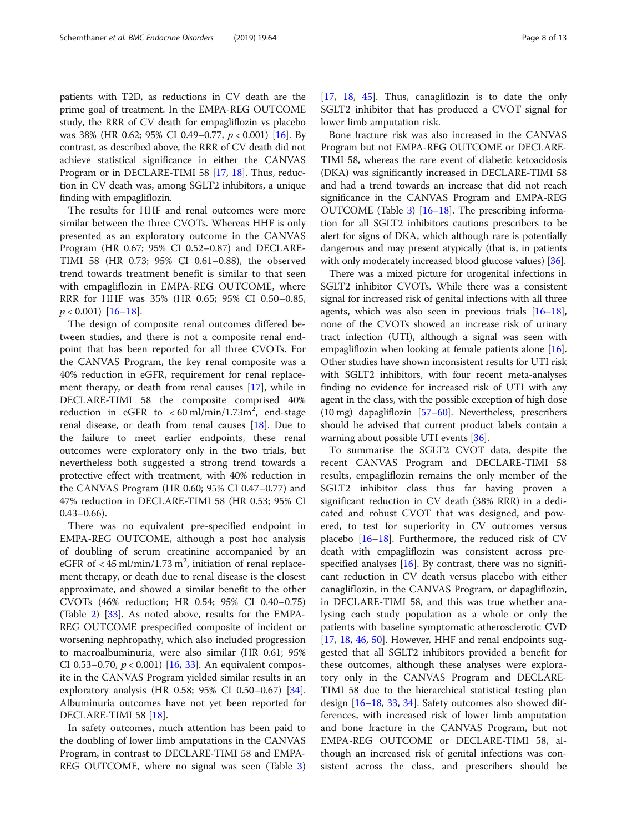patients with T2D, as reductions in CV death are the prime goal of treatment. In the EMPA-REG OUTCOME study, the RRR of CV death for empagliflozin vs placebo was 38% (HR 0.62; 95% CI 0.49–0.77,  $p < 0.001$ ) [[16\]](#page-10-0). By contrast, as described above, the RRR of CV death did not achieve statistical significance in either the CANVAS Program or in DECLARE-TIMI 58 [\[17,](#page-10-0) [18\]](#page-10-0). Thus, reduction in CV death was, among SGLT2 inhibitors, a unique finding with empagliflozin.

The results for HHF and renal outcomes were more similar between the three CVOTs. Whereas HHF is only presented as an exploratory outcome in the CANVAS Program (HR 0.67; 95% CI 0.52–0.87) and DECLARE-TIMI 58 (HR 0.73; 95% CI 0.61–0.88), the observed trend towards treatment benefit is similar to that seen with empagliflozin in EMPA-REG OUTCOME, where RRR for HHF was 35% (HR 0.65; 95% CI 0.50–0.85,  $p < 0.001$ ) [[16](#page-10-0)–[18\]](#page-10-0).

The design of composite renal outcomes differed between studies, and there is not a composite renal endpoint that has been reported for all three CVOTs. For the CANVAS Program, the key renal composite was a 40% reduction in eGFR, requirement for renal replacement therapy, or death from renal causes [\[17\]](#page-10-0), while in DECLARE-TIMI 58 the composite comprised 40% reduction in eGFR to  $<$  60 ml/min/1.73m<sup>2</sup>, end-stage renal disease, or death from renal causes [\[18\]](#page-10-0). Due to the failure to meet earlier endpoints, these renal outcomes were exploratory only in the two trials, but nevertheless both suggested a strong trend towards a protective effect with treatment, with 40% reduction in the CANVAS Program (HR 0.60; 95% CI 0.47–0.77) and 47% reduction in DECLARE-TIMI 58 (HR 0.53; 95% CI  $0.43 - 0.66$ ).

There was no equivalent pre-specified endpoint in EMPA-REG OUTCOME, although a post hoc analysis of doubling of serum creatinine accompanied by an eGFR of  $<$  45 ml/min/1.73 m<sup>2</sup>, initiation of renal replacement therapy, or death due to renal disease is the closest approximate, and showed a similar benefit to the other CVOTs (46% reduction; HR 0.54; 95% CI 0.40–0.75) (Table [2](#page-3-0)) [\[33](#page-11-0)]. As noted above, results for the EMPA-REG OUTCOME prespecified composite of incident or worsening nephropathy, which also included progression to macroalbuminuria, were also similar (HR 0.61; 95% CI 0.53-0.70,  $p < 0.001$ ) [[16](#page-10-0), [33\]](#page-11-0). An equivalent composite in the CANVAS Program yielded similar results in an exploratory analysis (HR 0.58; 95% CI 0.50–0.67) [\[34](#page-11-0)]. Albuminuria outcomes have not yet been reported for DECLARE-TIMI 58 [[18](#page-10-0)].

In safety outcomes, much attention has been paid to the doubling of lower limb amputations in the CANVAS Program, in contrast to DECLARE-TIMI 58 and EMPA-REG OUTCOME, where no signal was seen (Table [3](#page-4-0)) [[17,](#page-10-0) [18,](#page-10-0) [45\]](#page-11-0). Thus, canagliflozin is to date the only SGLT2 inhibitor that has produced a CVOT signal for lower limb amputation risk.

Bone fracture risk was also increased in the CANVAS Program but not EMPA-REG OUTCOME or DECLARE-TIMI 58, whereas the rare event of diabetic ketoacidosis (DKA) was significantly increased in DECLARE-TIMI 58 and had a trend towards an increase that did not reach significance in the CANVAS Program and EMPA-REG OUTCOME (Table [3\)](#page-4-0) [\[16](#page-10-0)–[18\]](#page-10-0). The prescribing information for all SGLT2 inhibitors cautions prescribers to be alert for signs of DKA, which although rare is potentially dangerous and may present atypically (that is, in patients with only moderately increased blood glucose values) [\[36\]](#page-11-0).

There was a mixed picture for urogenital infections in SGLT2 inhibitor CVOTs. While there was a consistent signal for increased risk of genital infections with all three agents, which was also seen in previous trials  $[16–18]$  $[16–18]$  $[16–18]$  $[16–18]$ , none of the CVOTs showed an increase risk of urinary tract infection (UTI), although a signal was seen with empagliflozin when looking at female patients alone [[16](#page-10-0)]. Other studies have shown inconsistent results for UTI risk with SGLT2 inhibitors, with four recent meta-analyses finding no evidence for increased risk of UTI with any agent in the class, with the possible exception of high dose (10 mg) dapagliflozin [\[57](#page-11-0)–[60](#page-12-0)]. Nevertheless, prescribers should be advised that current product labels contain a warning about possible UTI events [\[36\]](#page-11-0).

To summarise the SGLT2 CVOT data, despite the recent CANVAS Program and DECLARE-TIMI 58 results, empagliflozin remains the only member of the SGLT2 inhibitor class thus far having proven a significant reduction in CV death (38% RRR) in a dedicated and robust CVOT that was designed, and powered, to test for superiority in CV outcomes versus placebo [[16](#page-10-0)–[18](#page-10-0)]. Furthermore, the reduced risk of CV death with empagliflozin was consistent across prespecified analyses  $[16]$  $[16]$ . By contrast, there was no significant reduction in CV death versus placebo with either canagliflozin, in the CANVAS Program, or dapagliflozin, in DECLARE-TIMI 58, and this was true whether analysing each study population as a whole or only the patients with baseline symptomatic atherosclerotic CVD  $[17, 18, 46, 50]$  $[17, 18, 46, 50]$  $[17, 18, 46, 50]$  $[17, 18, 46, 50]$  $[17, 18, 46, 50]$  $[17, 18, 46, 50]$  $[17, 18, 46, 50]$  $[17, 18, 46, 50]$  $[17, 18, 46, 50]$ . However, HHF and renal endpoints suggested that all SGLT2 inhibitors provided a benefit for these outcomes, although these analyses were exploratory only in the CANVAS Program and DECLARE-TIMI 58 due to the hierarchical statistical testing plan design [\[16](#page-10-0)–[18,](#page-10-0) [33,](#page-11-0) [34](#page-11-0)]. Safety outcomes also showed differences, with increased risk of lower limb amputation and bone fracture in the CANVAS Program, but not EMPA-REG OUTCOME or DECLARE-TIMI 58, although an increased risk of genital infections was consistent across the class, and prescribers should be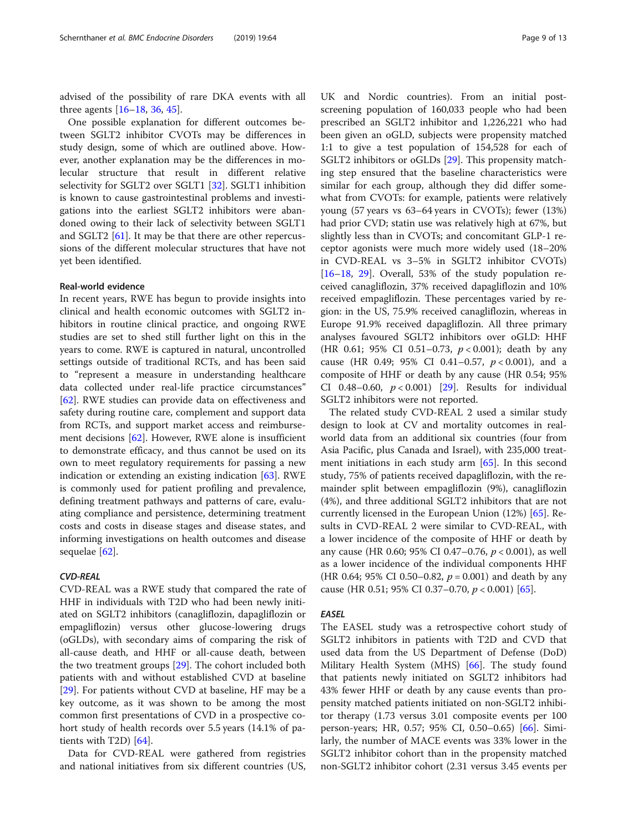advised of the possibility of rare DKA events with all three agents [[16](#page-10-0)–[18](#page-10-0), [36](#page-11-0), [45](#page-11-0)].

One possible explanation for different outcomes between SGLT2 inhibitor CVOTs may be differences in study design, some of which are outlined above. However, another explanation may be the differences in molecular structure that result in different relative selectivity for SGLT2 over SGLT1 [\[32\]](#page-11-0). SGLT1 inhibition is known to cause gastrointestinal problems and investigations into the earliest SGLT2 inhibitors were abandoned owing to their lack of selectivity between SGLT1 and SGLT2  $[61]$  $[61]$ . It may be that there are other repercussions of the different molecular structures that have not yet been identified.

#### Real-world evidence

In recent years, RWE has begun to provide insights into clinical and health economic outcomes with SGLT2 inhibitors in routine clinical practice, and ongoing RWE studies are set to shed still further light on this in the years to come. RWE is captured in natural, uncontrolled settings outside of traditional RCTs, and has been said to "represent a measure in understanding healthcare data collected under real-life practice circumstances" [[62\]](#page-12-0). RWE studies can provide data on effectiveness and safety during routine care, complement and support data from RCTs, and support market access and reimbursement decisions [\[62\]](#page-12-0). However, RWE alone is insufficient to demonstrate efficacy, and thus cannot be used on its own to meet regulatory requirements for passing a new indication or extending an existing indication [[63\]](#page-12-0). RWE is commonly used for patient profiling and prevalence, defining treatment pathways and patterns of care, evaluating compliance and persistence, determining treatment costs and costs in disease stages and disease states, and informing investigations on health outcomes and disease sequelae [\[62](#page-12-0)].

### CVD-REAL

CVD-REAL was a RWE study that compared the rate of HHF in individuals with T2D who had been newly initiated on SGLT2 inhibitors (canagliflozin, dapagliflozin or empagliflozin) versus other glucose-lowering drugs (oGLDs), with secondary aims of comparing the risk of all-cause death, and HHF or all-cause death, between the two treatment groups [\[29\]](#page-11-0). The cohort included both patients with and without established CVD at baseline [[29\]](#page-11-0). For patients without CVD at baseline, HF may be a key outcome, as it was shown to be among the most common first presentations of CVD in a prospective cohort study of health records over 5.5 years (14.1% of patients with T2D) [\[64](#page-12-0)].

Data for CVD-REAL were gathered from registries and national initiatives from six different countries (US, UK and Nordic countries). From an initial postscreening population of 160,033 people who had been prescribed an SGLT2 inhibitor and 1,226,221 who had been given an oGLD, subjects were propensity matched 1:1 to give a test population of 154,528 for each of SGLT2 inhibitors or oGLDs [[29\]](#page-11-0). This propensity matching step ensured that the baseline characteristics were similar for each group, although they did differ somewhat from CVOTs: for example, patients were relatively young (57 years vs 63–64 years in CVOTs); fewer (13%) had prior CVD; statin use was relatively high at 67%, but slightly less than in CVOTs; and concomitant GLP-1 receptor agonists were much more widely used (18–20% in CVD-REAL vs 3–5% in SGLT2 inhibitor CVOTs)  $[16–18, 29]$  $[16–18, 29]$  $[16–18, 29]$  $[16–18, 29]$  $[16–18, 29]$  $[16–18, 29]$ . Overall, 53% of the study population received canagliflozin, 37% received dapagliflozin and 10% received empagliflozin. These percentages varied by region: in the US, 75.9% received canagliflozin, whereas in Europe 91.9% received dapagliflozin. All three primary analyses favoured SGLT2 inhibitors over oGLD: HHF (HR 0.61; 95% CI 0.51-0.73,  $p < 0.001$ ); death by any cause (HR 0.49; 95% CI 0.41-0.57,  $p < 0.001$ ), and a composite of HHF or death by any cause (HR 0.54; 95% CI 0.48-0.60,  $p < 0.001$  [[29](#page-11-0)]. Results for individual SGLT2 inhibitors were not reported.

The related study CVD-REAL 2 used a similar study design to look at CV and mortality outcomes in realworld data from an additional six countries (four from Asia Pacific, plus Canada and Israel), with 235,000 treatment initiations in each study arm [\[65\]](#page-12-0). In this second study, 75% of patients received dapagliflozin, with the remainder split between empagliflozin (9%), canagliflozin (4%), and three additional SGLT2 inhibitors that are not currently licensed in the European Union (12%) [[65](#page-12-0)]. Results in CVD-REAL 2 were similar to CVD-REAL, with a lower incidence of the composite of HHF or death by any cause (HR 0.60; 95% CI 0.47–0.76, p < 0.001), as well as a lower incidence of the individual components HHF (HR 0.64; 95% CI 0.50–0.82,  $p = 0.001$ ) and death by any cause (HR 0.51; 95% CI 0.37–0.70,  $p < 0.001$ ) [\[65](#page-12-0)].

#### EASEL

The EASEL study was a retrospective cohort study of SGLT2 inhibitors in patients with T2D and CVD that used data from the US Department of Defense (DoD) Military Health System (MHS) [[66\]](#page-12-0). The study found that patients newly initiated on SGLT2 inhibitors had 43% fewer HHF or death by any cause events than propensity matched patients initiated on non-SGLT2 inhibitor therapy (1.73 versus 3.01 composite events per 100 person-years; HR, 0.57; 95% CI, 0.50–0.65) [[66\]](#page-12-0). Similarly, the number of MACE events was 33% lower in the SGLT2 inhibitor cohort than in the propensity matched non-SGLT2 inhibitor cohort (2.31 versus 3.45 events per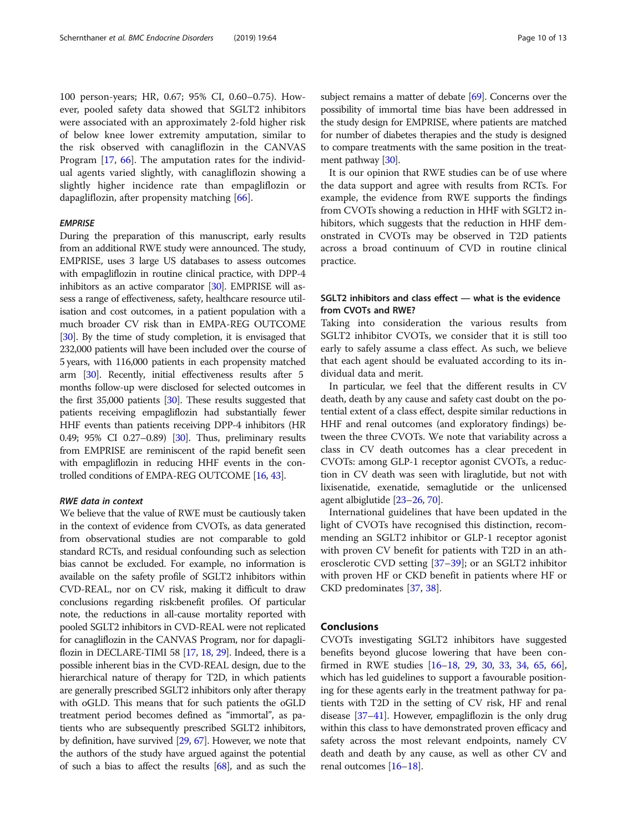100 person-years; HR, 0.67; 95% CI, 0.60–0.75). However, pooled safety data showed that SGLT2 inhibitors were associated with an approximately 2-fold higher risk of below knee lower extremity amputation, similar to the risk observed with canagliflozin in the CANVAS Program [[17,](#page-10-0) [66](#page-12-0)]. The amputation rates for the individual agents varied slightly, with canagliflozin showing a slightly higher incidence rate than empagliflozin or dapagliflozin, after propensity matching [\[66](#page-12-0)].

#### *EMPRISE*

During the preparation of this manuscript, early results from an additional RWE study were announced. The study, EMPRISE, uses 3 large US databases to assess outcomes with empagliflozin in routine clinical practice, with DPP-4 inhibitors as an active comparator [[30](#page-11-0)]. EMPRISE will assess a range of effectiveness, safety, healthcare resource utilisation and cost outcomes, in a patient population with a much broader CV risk than in EMPA-REG OUTCOME [[30](#page-11-0)]. By the time of study completion, it is envisaged that 232,000 patients will have been included over the course of 5 years, with 116,000 patients in each propensity matched arm [\[30](#page-11-0)]. Recently, initial effectiveness results after 5 months follow-up were disclosed for selected outcomes in the first 35,000 patients [[30](#page-11-0)]. These results suggested that patients receiving empagliflozin had substantially fewer HHF events than patients receiving DPP-4 inhibitors (HR 0.49; 95% CI 0.27–0.89) [[30](#page-11-0)]. Thus, preliminary results from EMPRISE are reminiscent of the rapid benefit seen with empagliflozin in reducing HHF events in the controlled conditions of EMPA-REG OUTCOME [\[16,](#page-10-0) [43\]](#page-11-0).

#### RWE data in context

We believe that the value of RWE must be cautiously taken in the context of evidence from CVOTs, as data generated from observational studies are not comparable to gold standard RCTs, and residual confounding such as selection bias cannot be excluded. For example, no information is available on the safety profile of SGLT2 inhibitors within CVD-REAL, nor on CV risk, making it difficult to draw conclusions regarding risk:benefit profiles. Of particular note, the reductions in all-cause mortality reported with pooled SGLT2 inhibitors in CVD-REAL were not replicated for canagliflozin in the CANVAS Program, nor for dapagliflozin in DECLARE-TIMI 58 [[17](#page-10-0), [18,](#page-10-0) [29\]](#page-11-0). Indeed, there is a possible inherent bias in the CVD-REAL design, due to the hierarchical nature of therapy for T2D, in which patients are generally prescribed SGLT2 inhibitors only after therapy with oGLD. This means that for such patients the oGLD treatment period becomes defined as "immortal", as patients who are subsequently prescribed SGLT2 inhibitors, by definition, have survived [\[29,](#page-11-0) [67\]](#page-12-0). However, we note that the authors of the study have argued against the potential of such a bias to affect the results  $[68]$  $[68]$ , and as such the subject remains a matter of debate [\[69\]](#page-12-0). Concerns over the possibility of immortal time bias have been addressed in

the study design for EMPRISE, where patients are matched for number of diabetes therapies and the study is designed to compare treatments with the same position in the treat-ment pathway [[30](#page-11-0)].

It is our opinion that RWE studies can be of use where the data support and agree with results from RCTs. For example, the evidence from RWE supports the findings from CVOTs showing a reduction in HHF with SGLT2 inhibitors, which suggests that the reduction in HHF demonstrated in CVOTs may be observed in T2D patients across a broad continuum of CVD in routine clinical practice.

# SGLT2 inhibitors and class effect — what is the evidence from CVOTs and RWE?

Taking into consideration the various results from SGLT2 inhibitor CVOTs, we consider that it is still too early to safely assume a class effect. As such, we believe that each agent should be evaluated according to its individual data and merit.

In particular, we feel that the different results in CV death, death by any cause and safety cast doubt on the potential extent of a class effect, despite similar reductions in HHF and renal outcomes (and exploratory findings) between the three CVOTs. We note that variability across a class in CV death outcomes has a clear precedent in CVOTs: among GLP-1 receptor agonist CVOTs, a reduction in CV death was seen with liraglutide, but not with lixisenatide, exenatide, semaglutide or the unlicensed agent albiglutide [\[23](#page-11-0)–[26](#page-11-0), [70\]](#page-12-0).

International guidelines that have been updated in the light of CVOTs have recognised this distinction, recommending an SGLT2 inhibitor or GLP-1 receptor agonist with proven CV benefit for patients with T2D in an atherosclerotic CVD setting [[37](#page-11-0)–[39](#page-11-0)]; or an SGLT2 inhibitor with proven HF or CKD benefit in patients where HF or CKD predominates [[37](#page-11-0), [38](#page-11-0)].

# Conclusions

CVOTs investigating SGLT2 inhibitors have suggested benefits beyond glucose lowering that have been confirmed in RWE studies [[16](#page-10-0)–[18,](#page-10-0) [29](#page-11-0), [30,](#page-11-0) [33](#page-11-0), [34](#page-11-0), [65,](#page-12-0) [66](#page-12-0)], which has led guidelines to support a favourable positioning for these agents early in the treatment pathway for patients with T2D in the setting of CV risk, HF and renal disease [[37](#page-11-0)–[41\]](#page-11-0). However, empagliflozin is the only drug within this class to have demonstrated proven efficacy and safety across the most relevant endpoints, namely CV death and death by any cause, as well as other CV and renal outcomes [[16](#page-10-0)–[18\]](#page-10-0).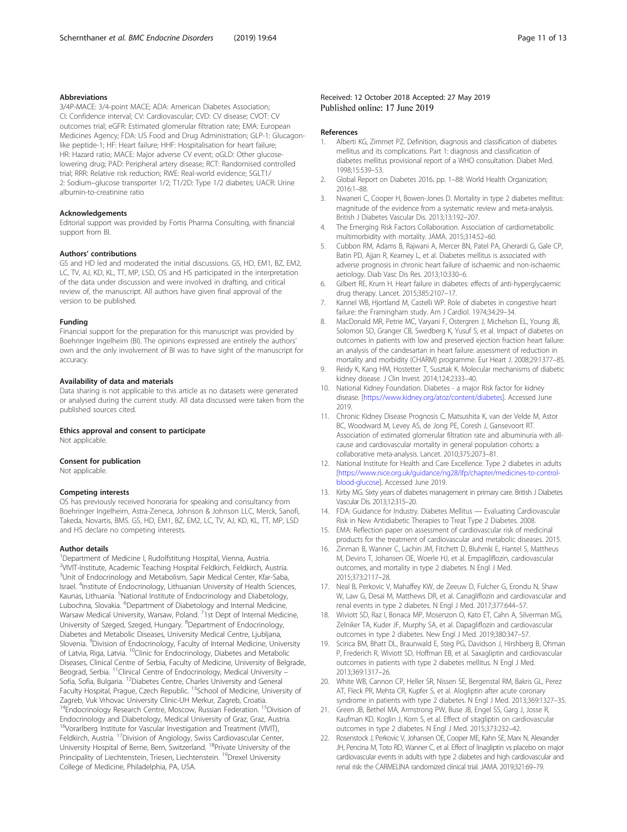#### <span id="page-10-0"></span>Abbreviations

3/4P-MACE: 3/4-point MACE; ADA: American Diabetes Association; CI: Confidence interval; CV: Cardiovascular; CVD: CV disease; CVOT: CV outcomes trial; eGFR: Estimated glomerular filtration rate; EMA: European Medicines Agency; FDA: US Food and Drug Administration; GLP-1: Glucagonlike peptide-1; HF: Heart failure; HHF: Hospitalisation for heart failure; HR: Hazard ratio; MACE: Major adverse CV event; oGLD: Other glucoselowering drug; PAD: Peripheral artery disease; RCT: Randomised controlled trial; RRR: Relative risk reduction; RWE: Real-world evidence; SGLT1/ 2: Sodium–glucose transporter 1/2; T1/2D: Type 1/2 diabetes; UACR: Urine albumin-to-creatinine ratio

#### Acknowledgements

Editorial support was provided by Fortis Pharma Consulting, with financial support from BI.

#### Authors' contributions

GS and HD led and moderated the initial discussions. GS, HD, EM1, BZ, EM2, LC, TV, AJ, KD, KL, TT, MP, LSD, OS and HS participated in the interpretation of the data under discussion and were involved in drafting, and critical review of, the manuscript. All authors have given final approval of the version to be published.

#### Funding

Financial support for the preparation for this manuscript was provided by Boehringer Ingelheim (BI). The opinions expressed are entirely the authors' own and the only involvement of BI was to have sight of the manuscript for accuracy.

#### Availability of data and materials

Data sharing is not applicable to this article as no datasets were generated or analysed during the current study. All data discussed were taken from the published sources cited.

#### Ethics approval and consent to participate

Not applicable.

#### Consent for publication

Not applicable.

#### Competing interests

OS has previously received honoraria for speaking and consultancy from Boehringer Ingelheim, Astra-Zeneca, Johnson & Johnson LLC, Merck, Sanofi, Takeda, Novartis, BMS. GS, HD, EM1, BZ, EM2, LC, TV, AJ, KD, KL, TT, MP, LSD and HS declare no competing interests.

#### Author details

<sup>1</sup>Department of Medicine I, Rudolfstitung Hospital, Vienna, Austria. 2 VIVIT-Institute, Academic Teaching Hospital Feldkirch, Feldkirch, Austria. <sup>3</sup>Unit of Endocrinology and Metabolism, Sapir Medical Center, Kfar-Saba, Israel. <sup>4</sup> Institute of Endocrinology, Lithuanian University of Health Sciences, Kaunas, Lithuania. <sup>5</sup>National Institute of Endocrinology and Diabetology, Lubochna, Slovakia. <sup>6</sup> Department of Diabetology and Internal Medicine, Warsaw Medical University, Warsaw, Poland. <sup>7</sup>1st Dept of Internal Medicine, University of Szeged, Szeged, Hungary. <sup>8</sup>Department of Endocrinology, Diabetes and Metabolic Diseases, University Medical Centre, Ljubljana, Slovenia. <sup>9</sup>Division of Endocrinology, Faculty of Internal Medicine, University of Latvia, Riga, Latvia. <sup>10</sup>Clinic for Endocrinology, Diabetes and Metabolic Diseases, Clinical Centre of Serbia, Faculty of Medicine, University of Belgrade, Beograd, Serbia. 11Clinical Centre of Endocrinology, Medical University – Sofia, Sofia, Bulgaria. 12Diabetes Centre, Charles University and General Faculty Hospital, Prague, Czech Republic. <sup>13</sup>School of Medicine, University of Zagreb, Vuk Vrhovac University Clinic-UH Merkur, Zagreb, Croatia. <sup>14</sup>Endocrinology Research Centre, Moscow, Russian Federation. <sup>15</sup>Division of Endocrinology and Diabetology, Medical University of Graz, Graz, Austria. <sup>16</sup>Vorarlberg Institute for Vascular Investigation and Treatment (VIVIT), Feldkirch, Austria. <sup>17</sup>Division of Angiology, Swiss Cardiovascular Center, University Hospital of Berne, Bern, Switzerland. <sup>18</sup>Private University of the Principality of Liechtenstein, Triesen, Liechtenstein. <sup>19</sup>Drexel University College of Medicine, Philadelphia, PA, USA.

#### References

- 1. Alberti KG, Zimmet PZ. Definition, diagnosis and classification of diabetes mellitus and its complications. Part 1: diagnosis and classification of diabetes mellitus provisional report of a WHO consultation. Diabet Med. 1998;15:539–53.
- 2. Global Report on Diabetes 2016. pp. 1–88: World Health Organization; 2016:1–88.
- 3. Nwaneri C, Cooper H, Bowen-Jones D. Mortality in type 2 diabetes mellitus: magnitude of the evidence from a systematic review and meta-analysis. British J Diabetes Vascular Dis. 2013;13:192–207.
- 4. The Emerging Risk Factors Collaboration. Association of cardiometabolic multimorbidity with mortality. JAMA. 2015;314:52–60.
- 5. Cubbon RM, Adams B, Rajwani A, Mercer BN, Patel PA, Gherardi G, Gale CP, Batin PD, Ajjan R, Kearney L, et al. Diabetes mellitus is associated with adverse prognosis in chronic heart failure of ischaemic and non-ischaemic aetiology. Diab Vasc Dis Res. 2013;10:330–6.
- 6. Gilbert RE, Krum H. Heart failure in diabetes: effects of anti-hyperglycaemic drug therapy. Lancet. 2015;385:2107–17.
- 7. Kannel WB, Hjortland M, Castelli WP. Role of diabetes in congestive heart failure: the Framingham study. Am J Cardiol. 1974;34:29–34.
- 8. MacDonald MR, Petrie MC, Varyani F, Ostergren J, Michelson EL, Young JB, Solomon SD, Granger CB, Swedberg K, Yusuf S, et al. Impact of diabetes on outcomes in patients with low and preserved ejection fraction heart failure: an analysis of the candesartan in heart failure: assessment of reduction in mortality and morbidity (CHARM) programme. Eur Heart J. 2008;29:1377–85.
- 9. Reidy K, Kang HM, Hostetter T, Susztak K. Molecular mechanisms of diabetic kidney disease. J Clin Invest. 2014;124:2333–40.
- 10. National Kidney Foundation. Diabetes a major Risk factor for kidney disease. [\[https://www.kidney.org/atoz/content/diabetes\]](https://www.kidney.org/atoz/content/diabetes). Accessed June 2019.
- 11. Chronic Kidney Disease Prognosis C, Matsushita K, van der Velde M, Astor BC, Woodward M, Levey AS, de Jong PE, Coresh J, Gansevoort RT. Association of estimated glomerular filtration rate and albuminuria with allcause and cardiovascular mortality in general population cohorts: a collaborative meta-analysis. Lancet. 2010;375:2073–81.
- 12. National Institute for Health and Care Excellence. Type 2 diabetes in adults [[https://www.nice.org.uk/guidance/ng28/ifp/chapter/medicines-to-control](https://www.nice.org.uk/guidance/ng28/ifp/chapter/medicines-to-control-blood-glucose)[blood-glucose\]](https://www.nice.org.uk/guidance/ng28/ifp/chapter/medicines-to-control-blood-glucose). Accessed June 2019.
- 13. Kirby MG. Sixty years of diabetes management in primary care. British J Diabetes Vascular Dis. 2013;12:315–20.
- 14. FDA: Guidance for Industry. Diabetes Mellitus Evaluating Cardiovascular Risk in New Antidiabetic Therapies to Treat Type 2 Diabetes. 2008.
- 15. EMA: Reflection paper on assessment of cardiovascular risk of medicinal products for the treatment of cardiovascular and metabolic diseases. 2015.
- 16. Zinman B, Wanner C, Lachin JM, Fitchett D, Bluhmki E, Hantel S, Mattheus M, Devins T, Johansen OE, Woerle HJ, et al. Empagliflozin, cardiovascular outcomes, and mortality in type 2 diabetes. N Engl J Med. 2015;373:2117–28.
- 17. Neal B, Perkovic V, Mahaffey KW, de Zeeuw D, Fulcher G, Erondu N, Shaw W, Law G, Desai M, Matthews DR, et al. Canagliflozin and cardiovascular and renal events in type 2 diabetes. N Engl J Med. 2017;377:644–57.
- 18. Wiviott SD, Raz I, Bonaca MP, Mosenzon O, Kato ET, Cahn A, Silverman MG, Zelniker TA, Kuder JF, Murphy SA, et al. Dapagliflozin and cardiovascular outcomes in type 2 diabetes. New Engl J Med. 2019;380:347–57.
- 19. Scirica BM, Bhatt DL, Braunwald E, Steg PG, Davidson J, Hirshberg B, Ohman P, Frederich R, Wiviott SD, Hoffman EB, et al. Saxagliptin and cardiovascular outcomes in patients with type 2 diabetes mellitus. N Engl J Med. 2013;369:1317–26.
- 20. White WB, Cannon CP, Heller SR, Nissen SE, Bergenstal RM, Bakris GL, Perez AT, Fleck PR, Mehta CR, Kupfer S, et al. Alogliptin after acute coronary syndrome in patients with type 2 diabetes. N Engl J Med. 2013;369:1327–35.
- 21. Green JB, Bethel MA, Armstrong PW, Buse JB, Engel SS, Garg J, Josse R, Kaufman KD, Koglin J, Korn S, et al. Effect of sitagliptin on cardiovascular outcomes in type 2 diabetes. N Engl J Med. 2015;373:232–42.
- 22. Rosenstock J, Perkovic V, Johansen OE, Cooper ME, Kahn SE, Marx N, Alexander JH, Pencina M, Toto RD, Wanner C, et al. Effect of linagliptin vs placebo on major cardiovascular events in adults with type 2 diabetes and high cardiovascular and renal risk: the CARMELINA randomized clinical trial. JAMA. 2019;321:69–79.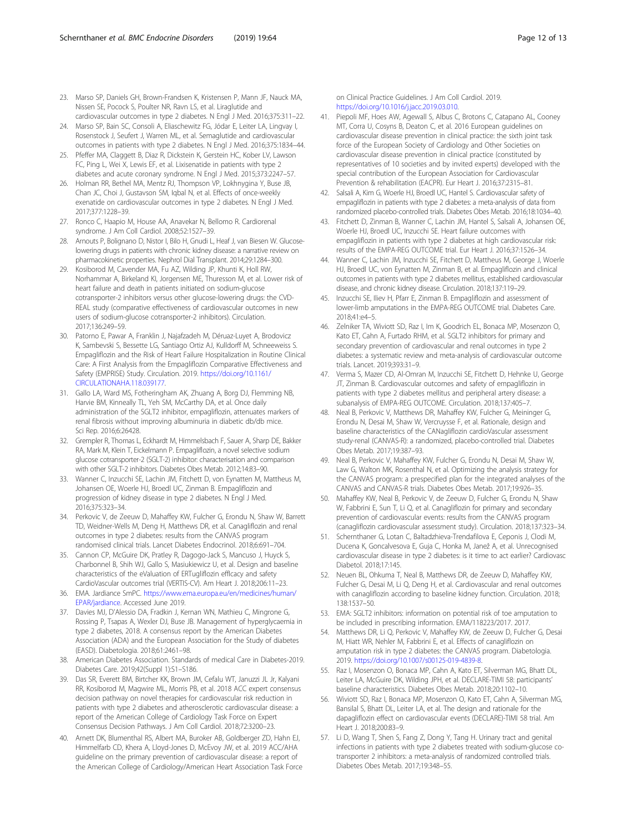- <span id="page-11-0"></span>23. Marso SP, Daniels GH, Brown-Frandsen K, Kristensen P, Mann JF, Nauck MA, Nissen SE, Pocock S, Poulter NR, Ravn LS, et al. Liraglutide and cardiovascular outcomes in type 2 diabetes. N Engl J Med. 2016;375:311–22.
- 24. Marso SP, Bain SC, Consoli A, Eliaschewitz FG, Jódar E, Leiter LA, Lingvay I, Rosenstock J, Seufert J, Warren ML, et al. Semaglutide and cardiovascular outcomes in patients with type 2 diabetes. N Engl J Med. 2016;375:1834–44.
- Pfeffer MA, Claggett B, Diaz R, Dickstein K, Gerstein HC, Kober LV, Lawson FC, Ping L, Wei X, Lewis EF, et al. Lixisenatide in patients with type 2 diabetes and acute coronary syndrome. N Engl J Med. 2015;373:2247–57.
- 26. Holman RR, Bethel MA, Mentz RJ, Thompson VP, Lokhnygina Y, Buse JB, Chan JC, Choi J, Gustavson SM, Iqbal N, et al. Effects of once-weekly exenatide on cardiovascular outcomes in type 2 diabetes. N Engl J Med. 2017;377:1228–39.
- 27. Ronco C, Haapio M, House AA, Anavekar N, Bellomo R. Cardiorenal syndrome. J Am Coll Cardiol. 2008;52:1527–39.
- 28. Arnouts P, Bolignano D, Nistor I, Bilo H, Gnudi L, Heaf J, van Biesen W. Glucoselowering drugs in patients with chronic kidney disease: a narrative review on pharmacokinetic properties. Nephrol Dial Transplant. 2014;29:1284–300.
- 29. Kosiborod M, Cavender MA, Fu AZ, Wilding JP, Khunti K, Holl RW, Norhammar A, Birkeland KI, Jorgensen ME, Thuresson M, et al. Lower risk of heart failure and death in patients initiated on sodium-glucose cotransporter-2 inhibitors versus other glucose-lowering drugs: the CVD-REAL study (comparative effectiveness of cardiovascular outcomes in new users of sodium-glucose cotransporter-2 inhibitors). Circulation. 2017;136:249–59.
- 30. Patorno E, Pawar A, Franklin J, Najafzadeh M, Déruaz-Luyet A, Brodovicz K, Sambevski S, Bessette LG, Santiago Ortiz AJ, Kulldorff M, Schneeweiss S. Empagliflozin and the Risk of Heart Failure Hospitalization in Routine Clinical Care: A First Analysis from the Empagliflozin Comparative Effectiveness and Safety (EMPRISE) Study. Circulation. 2019. [https://doi.org/10.1161/](https://doi.org/10.1161/CIRCULATIONAHA.118.039177) [CIRCULATIONAHA.118.039177](https://doi.org/10.1161/CIRCULATIONAHA.118.039177).
- 31. Gallo LA, Ward MS, Fotheringham AK, Zhuang A, Borg DJ, Flemming NB, Harvie BM, Kinneally TL, Yeh SM, McCarthy DA, et al. Once daily administration of the SGLT2 inhibitor, empagliflozin, attenuates markers of renal fibrosis without improving albuminuria in diabetic db/db mice. Sci Rep. 2016;6:26428.
- 32. Grempler R, Thomas L, Eckhardt M, Himmelsbach F, Sauer A, Sharp DE, Bakker RA, Mark M, Klein T, Eickelmann P. Empagliflozin, a novel selective sodium glucose cotransporter-2 (SGLT-2) inhibitor: characterisation and comparison with other SGLT-2 inhibitors. Diabetes Obes Metab. 2012;14:83–90.
- 33. Wanner C, Inzucchi SE, Lachin JM, Fitchett D, von Eynatten M, Mattheus M, Johansen OE, Woerle HJ, Broedl UC, Zinman B. Empagliflozin and progression of kidney disease in type 2 diabetes. N Engl J Med. 2016;375:323–34.
- 34. Perkovic V, de Zeeuw D, Mahaffey KW, Fulcher G, Erondu N, Shaw W, Barrett TD, Weidner-Wells M, Deng H, Matthews DR, et al. Canagliflozin and renal outcomes in type 2 diabetes: results from the CANVAS program randomised clinical trials. Lancet Diabetes Endocrinol. 2018;6:691–704.
- 35. Cannon CP, McGuire DK, Pratley R, Dagogo-Jack S, Mancuso J, Huyck S, Charbonnel B, Shih WJ, Gallo S, Masiukiewicz U, et al. Design and baseline characteristics of the eValuation of ERTugliflozin effIcacy and safety CardioVascular outcomes trial (VERTIS-CV). Am Heart J. 2018;206:11–23.
- 36. EMA. Jardiance SmPC. [https://www.ema.europa.eu/en/medicines/human/](https://www.ema.europa.eu/en/medicines/human/EPAR/jardiance) [EPAR/jardiance](https://www.ema.europa.eu/en/medicines/human/EPAR/jardiance). Accessed June 2019.
- 37. Davies MJ, D'Alessio DA, Fradkin J, Kernan WN, Mathieu C, Mingrone G, Rossing P, Tsapas A, Wexler DJ, Buse JB. Management of hyperglycaemia in type 2 diabetes, 2018. A consensus report by the American Diabetes Association (ADA) and the European Association for the Study of diabetes (EASD). Diabetologia. 2018;61:2461–98.
- American Diabetes Association. Standards of medical Care in Diabetes-2019. Diabetes Care. 2019;42(Suppl 1):S1–S186.
- 39. Das SR, Everett BM, Birtcher KK, Brown JM, Cefalu WT, Januzzi JL Jr, Kalyani RR, Kosiborod M, Magwire ML, Morris PB, et al. 2018 ACC expert consensus decision pathway on novel therapies for cardiovascular risk reduction in patients with type 2 diabetes and atherosclerotic cardiovascular disease: a report of the American College of Cardiology Task Force on Expert Consensus Decision Pathways. J Am Coll Cardiol. 2018;72:3200–23.
- 40. Arnett DK, Blumenthal RS, Albert MA, Buroker AB, Goldberger ZD, Hahn EJ, Himmelfarb CD, Khera A, Lloyd-Jones D, McEvoy JW, et al. 2019 ACC/AHA guideline on the primary prevention of cardiovascular disease: a report of the American College of Cardiology/American Heart Association Task Force

on Clinical Practice Guidelines. J Am Coll Cardiol. 2019. [https://doi.org/10.1016/j.jacc.2019.03.010.](https://doi.org/10.1016/j.jacc.2019.03.010)

- 41. Piepoli MF, Hoes AW, Agewall S, Albus C, Brotons C, Catapano AL, Cooney MT, Corra U, Cosyns B, Deaton C, et al. 2016 European guidelines on cardiovascular disease prevention in clinical practice: the sixth joint task force of the European Society of Cardiology and Other Societies on cardiovascular disease prevention in clinical practice (constituted by representatives of 10 societies and by invited experts) developed with the special contribution of the European Association for Cardiovascular Prevention & rehabilitation (EACPR). Eur Heart J. 2016;37:2315–81.
- 42. Salsali A, Kim G, Woerle HJ, Broedl UC, Hantel S. Cardiovascular safety of empagliflozin in patients with type 2 diabetes: a meta-analysis of data from randomized placebo-controlled trials. Diabetes Obes Metab. 2016;18:1034–40.
- 43. Fitchett D, Zinman B, Wanner C, Lachin JM, Hantel S, Salsali A, Johansen OE, Woerle HJ, Broedl UC, Inzucchi SE. Heart failure outcomes with empagliflozin in patients with type 2 diabetes at high cardiovascular risk: results of the EMPA-REG OUTCOME trial. Eur Heart J. 2016;37:1526–34.
- 44. Wanner C, Lachin JM, Inzucchi SE, Fitchett D, Mattheus M, George J, Woerle HJ, Broedl UC, von Eynatten M, Zinman B, et al. Empagliflozin and clinical outcomes in patients with type 2 diabetes mellitus, established cardiovascular disease, and chronic kidney disease. Circulation. 2018;137:119–29.
- 45. Inzucchi SE, Iliev H, Pfarr E, Zinman B. Empagliflozin and assessment of lower-limb amputations in the EMPA-REG OUTCOME trial. Diabetes Care. 2018;41:e4–5.
- 46. Zelniker TA, Wiviott SD, Raz I, Im K, Goodrich EL, Bonaca MP, Mosenzon O, Kato ET, Cahn A, Furtado RHM, et al. SGLT2 inhibitors for primary and secondary prevention of cardiovascular and renal outcomes in type 2 diabetes: a systematic review and meta-analysis of cardiovascular outcome trials. Lancet. 2019;393:31–9.
- 47. Verma S, Mazer CD, Al-Omran M, Inzucchi SE, Fitchett D, Hehnke U, George JT, Zinman B. Cardiovascular outcomes and safety of empagliflozin in patients with type 2 diabetes mellitus and peripheral artery disease: a subanalysis of EMPA-REG OUTCOME. Circulation. 2018;137:405–7.
- 48. Neal B, Perkovic V, Matthews DR, Mahaffey KW, Fulcher G, Meininger G, Erondu N, Desai M, Shaw W, Vercruysse F, et al. Rationale, design and baseline characteristics of the CANagliflozin cardioVascular assessment study-renal (CANVAS-R): a randomized, placebo-controlled trial. Diabetes Obes Metab. 2017;19:387–93.
- 49. Neal B, Perkovic V, Mahaffey KW, Fulcher G, Erondu N, Desai M, Shaw W, Law G, Walton MK, Rosenthal N, et al. Optimizing the analysis strategy for the CANVAS program: a prespecified plan for the integrated analyses of the CANVAS and CANVAS-R trials. Diabetes Obes Metab. 2017;19:926–35.
- 50. Mahaffey KW, Neal B, Perkovic V, de Zeeuw D, Fulcher G, Erondu N, Shaw W, Fabbrini E, Sun T, Li Q, et al. Canagliflozin for primary and secondary prevention of cardiovascular events: results from the CANVAS program (canagliflozin cardiovascular assessment study). Circulation. 2018;137:323–34.
- 51. Schernthaner G, Lotan C, Baltadzhieva-Trendafilova E, Ceponis J, Clodi M, Ducena K, Goncalvesova E, Guja C, Honka M, Janež A, et al. Unrecognised cardiovascular disease in type 2 diabetes: is it time to act earlier? Cardiovasc Diabetol. 2018;17:145.
- 52. Neuen BL, Ohkuma T, Neal B, Matthews DR, de Zeeuw D, Mahaffey KW, Fulcher G, Desai M, Li Q, Deng H, et al. Cardiovascular and renal outcomes with canagliflozin according to baseline kidney function. Circulation. 2018; 138:1537–50.
- 53. EMA: SGLT2 inhibitors: information on potential risk of toe amputation to be included in prescribing information. EMA/118223/2017. 2017.
- 54. Matthews DR, Li Q, Perkovic V, Mahaffey KW, de Zeeuw D, Fulcher G, Desai M, Hiatt WR, Nehler M, Fabbrini E, et al. Effects of canagliflozin on amputation risk in type 2 diabetes: the CANVAS program. Diabetologia. 2019. <https://doi.org/10.1007/s00125-019-4839-8>.
- 55. Raz I, Mosenzon O, Bonaca MP, Cahn A, Kato ET, Silverman MG, Bhatt DL, Leiter LA, McGuire DK, Wilding JPH, et al. DECLARE-TIMI 58: participants' baseline characteristics. Diabetes Obes Metab. 2018;20:1102–10.
- 56. Wiviott SD, Raz I, Bonaca MP, Mosenzon O, Kato ET, Cahn A, Silverman MG, Bansilal S, Bhatt DL, Leiter LA, et al. The design and rationale for the dapagliflozin effect on cardiovascular events (DECLARE)-TIMI 58 trial. Am Heart J. 2018;200:83–9.
- 57. Li D, Wang T, Shen S, Fang Z, Dong Y, Tang H. Urinary tract and genital infections in patients with type 2 diabetes treated with sodium-glucose cotransporter 2 inhibitors: a meta-analysis of randomized controlled trials. Diabetes Obes Metab. 2017;19:348–55.